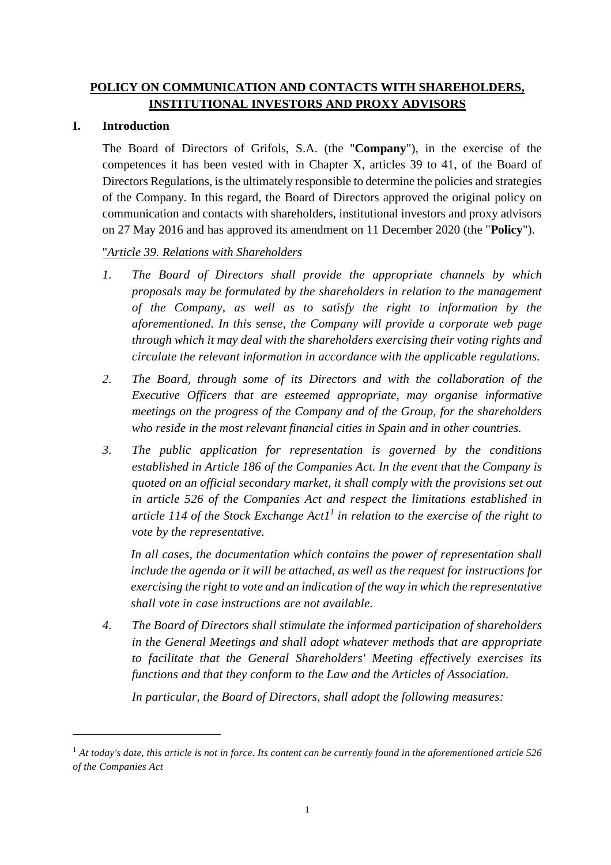## **POLICY ON COMMUNICATION AND CONTACTS WITH SHAREHOLDERS, INSTITUTIONAL INVESTORS AND PROXY ADVISORS**

## **I. Introduction**

 $\overline{a}$ 

The Board of Directors of Grifols, S.A. (the "**Company**"), in the exercise of the competences it has been vested with in Chapter X, articles 39 to 41, of the Board of Directors Regulations, is the ultimately responsible to determine the policies and strategies of the Company. In this regard, the Board of Directors approved the original policy on communication and contacts with shareholders, institutional investors and proxy advisors on 27 May 2016 and has approved its amendment on 11 December 2020 (the "**Policy**").

## "*Article 39. Relations with Shareholders*

- *1. The Board of Directors shall provide the appropriate channels by which proposals may be formulated by the shareholders in relation to the management of the Company, as well as to satisfy the right to information by the aforementioned. In this sense, the Company will provide a corporate web page through which it may deal with the shareholders exercising their voting rights and circulate the relevant information in accordance with the applicable regulations.*
- *2. The Board, through some of its Directors and with the collaboration of the Executive Officers that are esteemed appropriate, may organise informative meetings on the progress of the Company and of the Group, for the shareholders who reside in the most relevant financial cities in Spain and in other countries.*
- *3. The public application for representation is governed by the conditions established in Article 186 of the Companies Act. In the event that the Company is quoted on an official secondary market, it shall comply with the provisions set out in article 526 of the Companies Act and respect the limitations established in article 114 of the Stock Exchange Act11 in relation to the exercise of the right to vote by the representative.*

*In all cases, the documentation which contains the power of representation shall include the agenda or it will be attached, as well as the request for instructions for exercising the right to vote and an indication of the way in which the representative shall vote in case instructions are not available.* 

*4. The Board of Directors shall stimulate the informed participation of shareholders in the General Meetings and shall adopt whatever methods that are appropriate to facilitate that the General Shareholders' Meeting effectively exercises its functions and that they conform to the Law and the Articles of Association.* 

*In particular, the Board of Directors, shall adopt the following measures:* 

<sup>1</sup> *At today's date, this article is not in force. Its content can be currently found in the aforementioned article 526 of the Companies Act*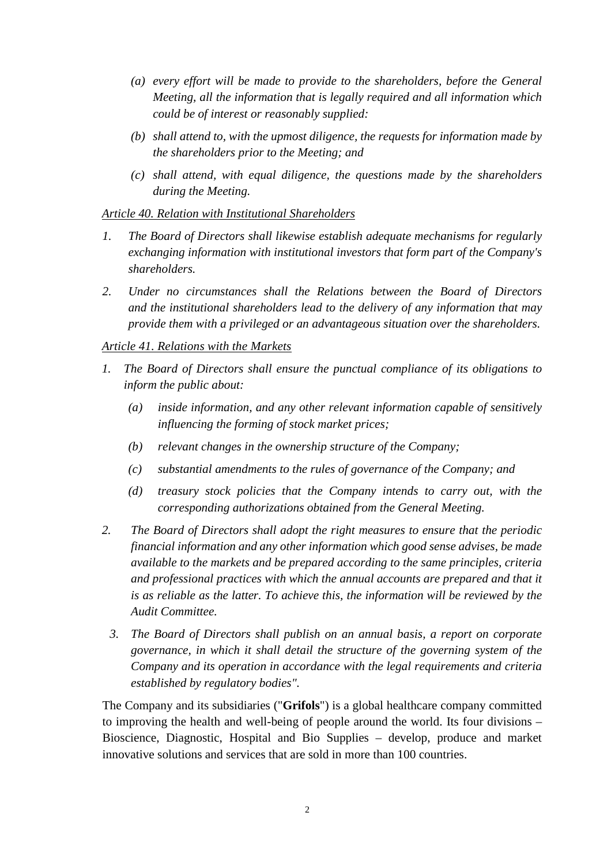- *(a) every effort will be made to provide to the shareholders, before the General Meeting, all the information that is legally required and all information which could be of interest or reasonably supplied:*
- *(b) shall attend to, with the upmost diligence, the requests for information made by the shareholders prior to the Meeting; and*
- *(c) shall attend, with equal diligence, the questions made by the shareholders during the Meeting.*

### *Article 40. Relation with Institutional Shareholders*

- *1. The Board of Directors shall likewise establish adequate mechanisms for regularly exchanging information with institutional investors that form part of the Company's shareholders.*
- *2. Under no circumstances shall the Relations between the Board of Directors and the institutional shareholders lead to the delivery of any information that may provide them with a privileged or an advantageous situation over the shareholders.*

## *Article 41. Relations with the Markets*

- *1. The Board of Directors shall ensure the punctual compliance of its obligations to inform the public about:* 
	- *(a) inside information, and any other relevant information capable of sensitively influencing the forming of stock market prices;*
	- *(b) relevant changes in the ownership structure of the Company;*
	- *(c) substantial amendments to the rules of governance of the Company; and*
	- *(d) treasury stock policies that the Company intends to carry out, with the corresponding authorizations obtained from the General Meeting.*
- *2. The Board of Directors shall adopt the right measures to ensure that the periodic financial information and any other information which good sense advises, be made available to the markets and be prepared according to the same principles, criteria*  and professional practices with which the annual accounts are prepared and that it *is as reliable as the latter. To achieve this, the information will be reviewed by the Audit Committee.* 
	- *3. The Board of Directors shall publish on an annual basis, a report on corporate governance, in which it shall detail the structure of the governing system of the Company and its operation in accordance with the legal requirements and criteria established by regulatory bodies".*

The Company and its subsidiaries ("**Grifols**") is a global healthcare company committed to improving the health and well-being of people around the world. Its four divisions – Bioscience, Diagnostic, Hospital and Bio Supplies – develop, produce and market innovative solutions and services that are sold in more than 100 countries.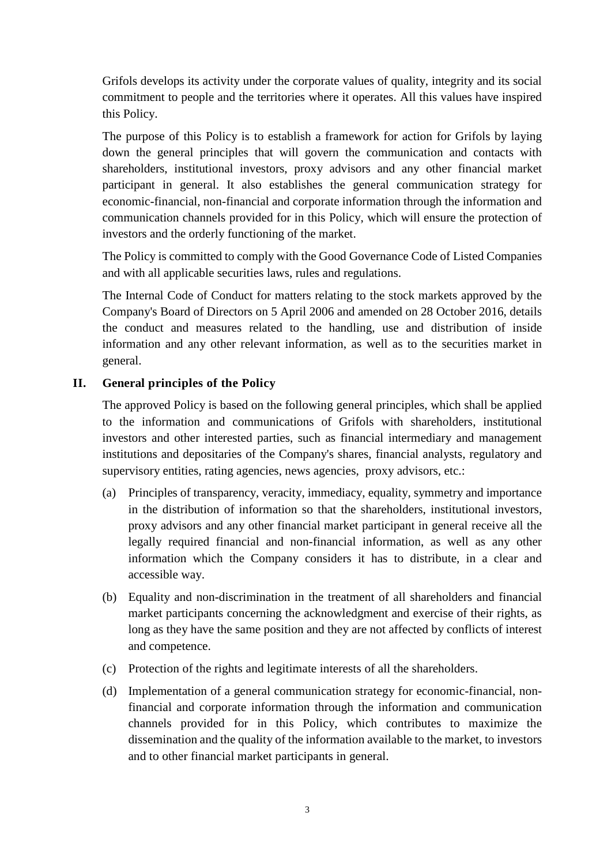Grifols develops its activity under the corporate values of quality, integrity and its social commitment to people and the territories where it operates. All this values have inspired this Policy.

The purpose of this Policy is to establish a framework for action for Grifols by laying down the general principles that will govern the communication and contacts with shareholders, institutional investors, proxy advisors and any other financial market participant in general. It also establishes the general communication strategy for economic-financial, non-financial and corporate information through the information and communication channels provided for in this Policy, which will ensure the protection of investors and the orderly functioning of the market.

The Policy is committed to comply with the Good Governance Code of Listed Companies and with all applicable securities laws, rules and regulations.

The Internal Code of Conduct for matters relating to the stock markets approved by the Company's Board of Directors on 5 April 2006 and amended on 28 October 2016, details the conduct and measures related to the handling, use and distribution of inside information and any other relevant information, as well as to the securities market in general.

## **II. General principles of the Policy**

The approved Policy is based on the following general principles, which shall be applied to the information and communications of Grifols with shareholders, institutional investors and other interested parties, such as financial intermediary and management institutions and depositaries of the Company's shares, financial analysts, regulatory and supervisory entities, rating agencies, news agencies, proxy advisors, etc.:

- (a) Principles of transparency, veracity, immediacy, equality, symmetry and importance in the distribution of information so that the shareholders, institutional investors, proxy advisors and any other financial market participant in general receive all the legally required financial and non-financial information, as well as any other information which the Company considers it has to distribute, in a clear and accessible way.
- (b) Equality and non-discrimination in the treatment of all shareholders and financial market participants concerning the acknowledgment and exercise of their rights, as long as they have the same position and they are not affected by conflicts of interest and competence.
- (c) Protection of the rights and legitimate interests of all the shareholders.
- (d) Implementation of a general communication strategy for economic-financial, nonfinancial and corporate information through the information and communication channels provided for in this Policy, which contributes to maximize the dissemination and the quality of the information available to the market, to investors and to other financial market participants in general.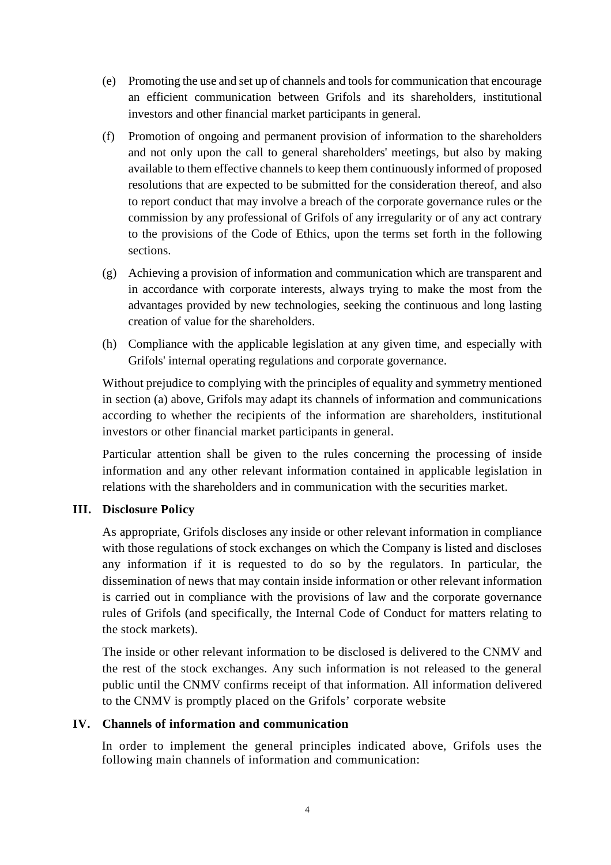- (e) Promoting the use and set up of channels and tools for communication that encourage an efficient communication between Grifols and its shareholders, institutional investors and other financial market participants in general.
- (f) Promotion of ongoing and permanent provision of information to the shareholders and not only upon the call to general shareholders' meetings, but also by making available to them effective channels to keep them continuously informed of proposed resolutions that are expected to be submitted for the consideration thereof, and also to report conduct that may involve a breach of the corporate governance rules or the commission by any professional of Grifols of any irregularity or of any act contrary to the provisions of the Code of Ethics, upon the terms set forth in the following sections.
- (g) Achieving a provision of information and communication which are transparent and in accordance with corporate interests, always trying to make the most from the advantages provided by new technologies, seeking the continuous and long lasting creation of value for the shareholders.
- (h) Compliance with the applicable legislation at any given time, and especially with Grifols' internal operating regulations and corporate governance.

Without prejudice to complying with the principles of equality and symmetry mentioned in section (a) above, Grifols may adapt its channels of information and communications according to whether the recipients of the information are shareholders, institutional investors or other financial market participants in general.

Particular attention shall be given to the rules concerning the processing of inside information and any other relevant information contained in applicable legislation in relations with the shareholders and in communication with the securities market.

## **III. Disclosure Policy**

As appropriate, Grifols discloses any inside or other relevant information in compliance with those regulations of stock exchanges on which the Company is listed and discloses any information if it is requested to do so by the regulators. In particular, the dissemination of news that may contain inside information or other relevant information is carried out in compliance with the provisions of law and the corporate governance rules of Grifols (and specifically, the Internal Code of Conduct for matters relating to the stock markets).

The inside or other relevant information to be disclosed is delivered to the CNMV and the rest of the stock exchanges. Any such information is not released to the general public until the CNMV confirms receipt of that information. All information delivered to the CNMV is promptly placed on the Grifols' corporate website

#### **IV. Channels of information and communication**

In order to implement the general principles indicated above, Grifols uses the following main channels of information and communication: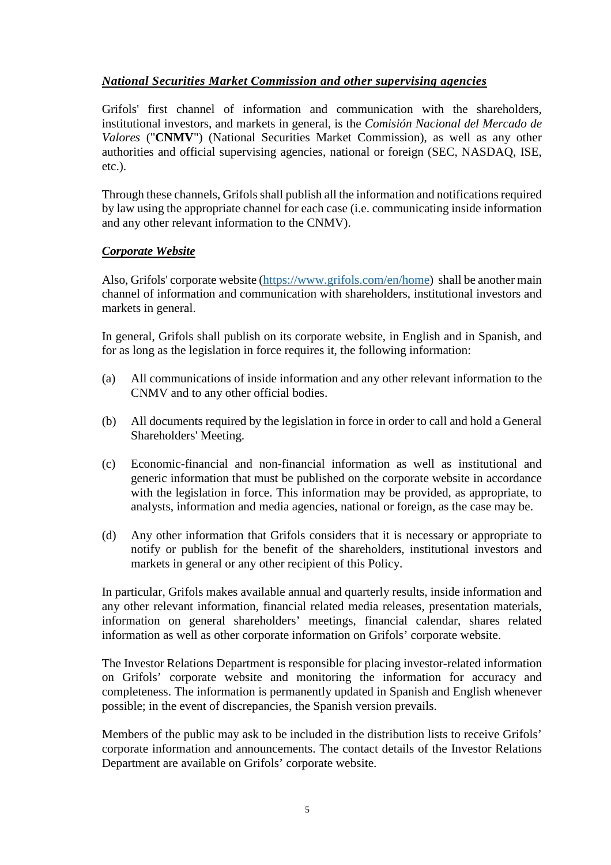## *National Securities Market Commission and other supervising agencies*

Grifols' first channel of information and communication with the shareholders, institutional investors, and markets in general, is the *Comisión Nacional del Mercado de Valores* ("**CNMV**") (National Securities Market Commission), as well as any other authorities and official supervising agencies, national or foreign (SEC, NASDAQ, ISE, etc.).

Through these channels, Grifols shall publish all the information and notifications required by law using the appropriate channel for each case (i.e. communicating inside information and any other relevant information to the CNMV).

### *Corporate Website*

Also, Grifols' corporate website (https://www.grifols.com/en/home) shall be another main channel of information and communication with shareholders, institutional investors and markets in general.

In general, Grifols shall publish on its corporate website, in English and in Spanish, and for as long as the legislation in force requires it, the following information:

- (a) All communications of inside information and any other relevant information to the CNMV and to any other official bodies.
- (b) All documents required by the legislation in force in order to call and hold a General Shareholders' Meeting.
- (c) Economic-financial and non-financial information as well as institutional and generic information that must be published on the corporate website in accordance with the legislation in force. This information may be provided, as appropriate, to analysts, information and media agencies, national or foreign, as the case may be.
- (d) Any other information that Grifols considers that it is necessary or appropriate to notify or publish for the benefit of the shareholders, institutional investors and markets in general or any other recipient of this Policy.

In particular, Grifols makes available annual and quarterly results, inside information and any other relevant information, financial related media releases, presentation materials, information on general shareholders' meetings, financial calendar, shares related information as well as other corporate information on Grifols' corporate website.

The Investor Relations Department is responsible for placing investor-related information on Grifols' corporate website and monitoring the information for accuracy and completeness. The information is permanently updated in Spanish and English whenever possible; in the event of discrepancies, the Spanish version prevails.

Members of the public may ask to be included in the distribution lists to receive Grifols' corporate information and announcements. The contact details of the Investor Relations Department are available on Grifols' corporate website.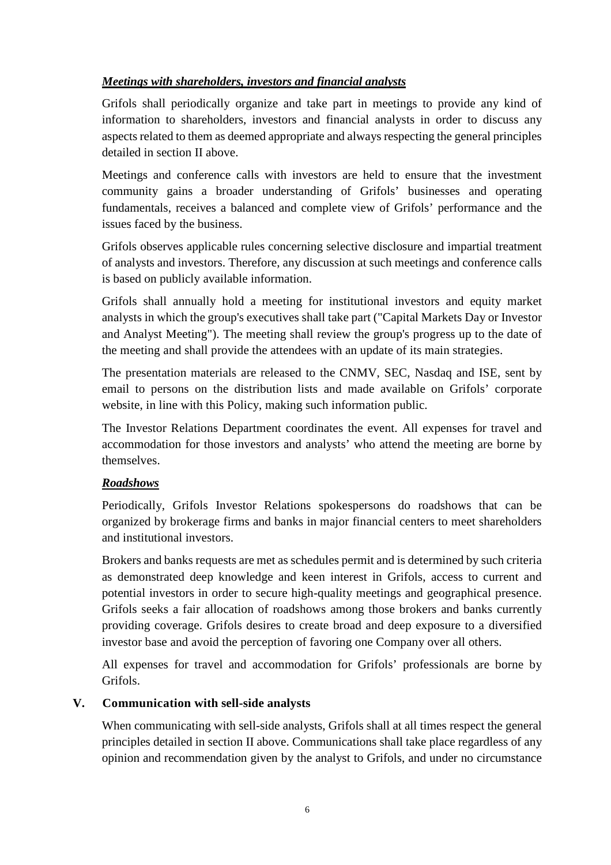## *Meetings with shareholders, investors and financial analysts*

Grifols shall periodically organize and take part in meetings to provide any kind of information to shareholders, investors and financial analysts in order to discuss any aspects related to them as deemed appropriate and always respecting the general principles detailed in section II above.

Meetings and conference calls with investors are held to ensure that the investment community gains a broader understanding of Grifols' businesses and operating fundamentals, receives a balanced and complete view of Grifols' performance and the issues faced by the business.

Grifols observes applicable rules concerning selective disclosure and impartial treatment of analysts and investors. Therefore, any discussion at such meetings and conference calls is based on publicly available information.

Grifols shall annually hold a meeting for institutional investors and equity market analysts in which the group's executives shall take part ("Capital Markets Day or Investor and Analyst Meeting"). The meeting shall review the group's progress up to the date of the meeting and shall provide the attendees with an update of its main strategies.

The presentation materials are released to the CNMV, SEC, Nasdaq and ISE, sent by email to persons on the distribution lists and made available on Grifols' corporate website, in line with this Policy, making such information public.

The Investor Relations Department coordinates the event. All expenses for travel and accommodation for those investors and analysts' who attend the meeting are borne by themselves.

## *Roadshows*

Periodically, Grifols Investor Relations spokespersons do roadshows that can be organized by brokerage firms and banks in major financial centers to meet shareholders and institutional investors.

Brokers and banks requests are met as schedules permit and is determined by such criteria as demonstrated deep knowledge and keen interest in Grifols, access to current and potential investors in order to secure high-quality meetings and geographical presence. Grifols seeks a fair allocation of roadshows among those brokers and banks currently providing coverage. Grifols desires to create broad and deep exposure to a diversified investor base and avoid the perception of favoring one Company over all others.

All expenses for travel and accommodation for Grifols' professionals are borne by Grifols.

## **V. Communication with sell-side analysts**

When communicating with sell-side analysts, Grifols shall at all times respect the general principles detailed in section II above. Communications shall take place regardless of any opinion and recommendation given by the analyst to Grifols, and under no circumstance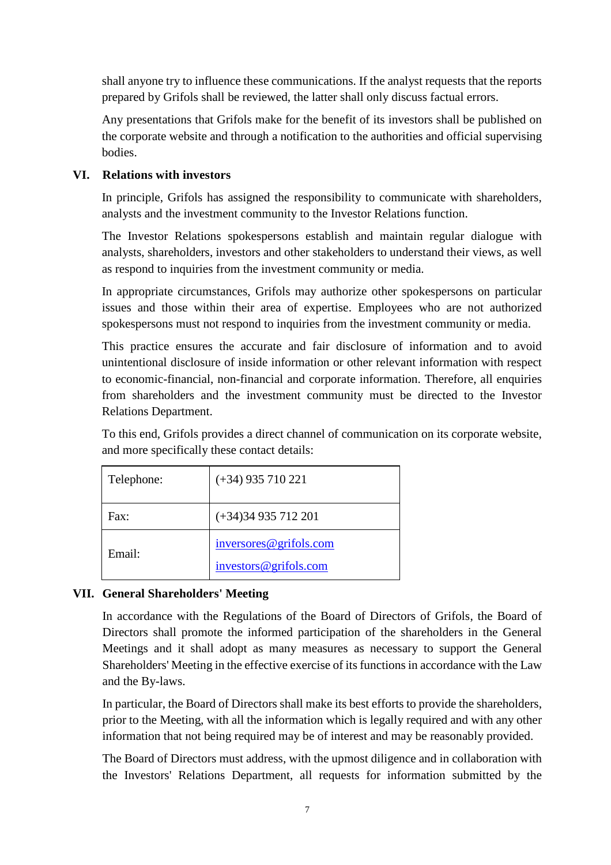shall anyone try to influence these communications. If the analyst requests that the reports prepared by Grifols shall be reviewed, the latter shall only discuss factual errors.

Any presentations that Grifols make for the benefit of its investors shall be published on the corporate website and through a notification to the authorities and official supervising bodies.

## **VI. Relations with investors**

In principle, Grifols has assigned the responsibility to communicate with shareholders, analysts and the investment community to the Investor Relations function.

The Investor Relations spokespersons establish and maintain regular dialogue with analysts, shareholders, investors and other stakeholders to understand their views, as well as respond to inquiries from the investment community or media.

In appropriate circumstances, Grifols may authorize other spokespersons on particular issues and those within their area of expertise. Employees who are not authorized spokespersons must not respond to inquiries from the investment community or media.

This practice ensures the accurate and fair disclosure of information and to avoid unintentional disclosure of inside information or other relevant information with respect to economic-financial, non-financial and corporate information. Therefore, all enquiries from shareholders and the investment community must be directed to the Investor Relations Department.

To this end, Grifols provides a direct channel of communication on its corporate website, and more specifically these contact details:

| Telephone: | $(+34)$ 935 710 221                             |
|------------|-------------------------------------------------|
| Fax:       | $(+34)34935712201$                              |
| Email:     | inversores@grifols.com<br>investors@grifols.com |

# **VII. General Shareholders' Meeting**

In accordance with the Regulations of the Board of Directors of Grifols, the Board of Directors shall promote the informed participation of the shareholders in the General Meetings and it shall adopt as many measures as necessary to support the General Shareholders' Meeting in the effective exercise of its functions in accordance with the Law and the By-laws.

In particular, the Board of Directors shall make its best efforts to provide the shareholders, prior to the Meeting, with all the information which is legally required and with any other information that not being required may be of interest and may be reasonably provided.

The Board of Directors must address, with the upmost diligence and in collaboration with the Investors' Relations Department, all requests for information submitted by the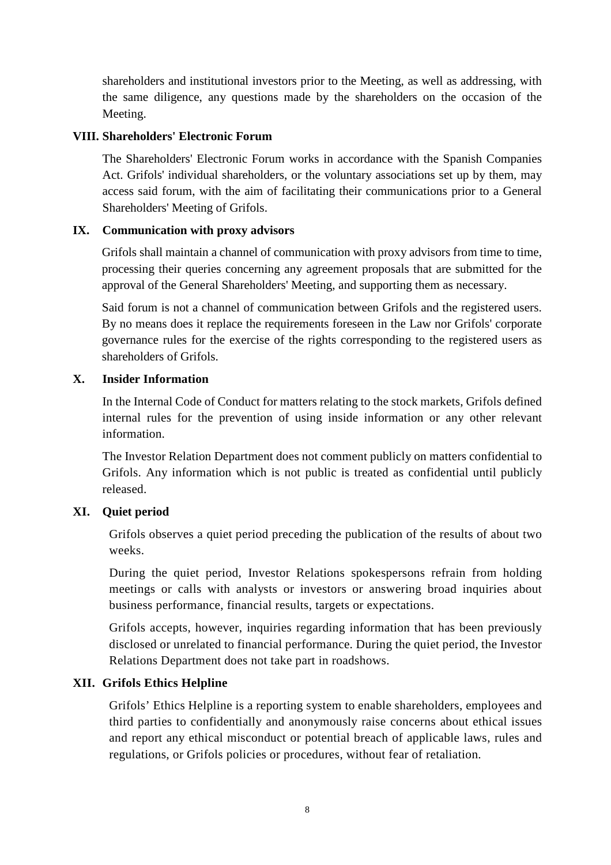shareholders and institutional investors prior to the Meeting, as well as addressing, with the same diligence, any questions made by the shareholders on the occasion of the Meeting.

### **VIII. Shareholders' Electronic Forum**

The Shareholders' Electronic Forum works in accordance with the Spanish Companies Act. Grifols' individual shareholders, or the voluntary associations set up by them, may access said forum, with the aim of facilitating their communications prior to a General Shareholders' Meeting of Grifols.

### **IX. Communication with proxy advisors**

Grifols shall maintain a channel of communication with proxy advisors from time to time, processing their queries concerning any agreement proposals that are submitted for the approval of the General Shareholders' Meeting, and supporting them as necessary.

Said forum is not a channel of communication between Grifols and the registered users. By no means does it replace the requirements foreseen in the Law nor Grifols' corporate governance rules for the exercise of the rights corresponding to the registered users as shareholders of Grifols.

### **X. Insider Information**

In the Internal Code of Conduct for matters relating to the stock markets, Grifols defined internal rules for the prevention of using inside information or any other relevant information.

The Investor Relation Department does not comment publicly on matters confidential to Grifols. Any information which is not public is treated as confidential until publicly released.

## **XI. Quiet period**

Grifols observes a quiet period preceding the publication of the results of about two weeks.

During the quiet period, Investor Relations spokespersons refrain from holding meetings or calls with analysts or investors or answering broad inquiries about business performance, financial results, targets or expectations.

Grifols accepts, however, inquiries regarding information that has been previously disclosed or unrelated to financial performance. During the quiet period, the Investor Relations Department does not take part in roadshows.

## **XII. Grifols Ethics Helpline**

Grifols' Ethics Helpline is a reporting system to enable shareholders, employees and third parties to confidentially and anonymously raise concerns about ethical issues and report any ethical misconduct or potential breach of applicable laws, rules and regulations, or Grifols policies or procedures, without fear of retaliation.